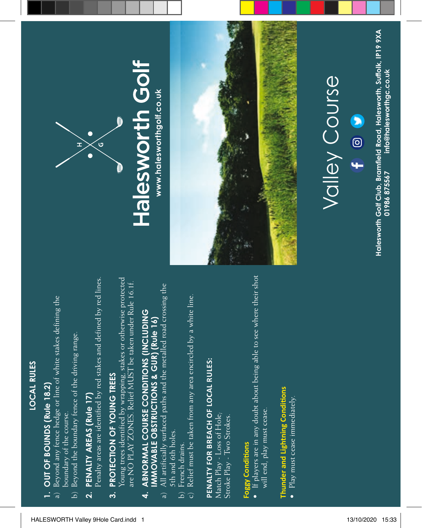#### **LOCAL RULES LOCAL RULES**

### OUT OF BOUNDS (Rule 18.2) **1. OUT OF BOUNDS (Rule 18.2)**  $\ddot{=}$

- a) Beyond any fence hedge or line of white stakes defining the Beyond any fence hedge or line of white stakes defining the boundary of the course. boundary of the course.  $\widehat{a}$ 
	- Beyond the boundary fence of the driving range. b) Beyond the boundary fence of the driving range.  $\overline{a}$

### PENALTY AREAS (Rule 17) **2. PENALTY AREAS (Rule 17)**  $\overline{\mathbf{a}}$

Penalty areas are identified by red stakes and defined by red lines. Penalty areas are identified by red stakes and defined by red lines.

### PROTECTION OF YOUNG TREES **3. PROTECTION OF YOUNG TREES**  $\ddot{\mathbf{c}}$

Young trees identified by wrapping, stakes or otherwise protected foung trees identified by wrapping, stakes or otherwise protected are NO PLAY ZONES. Relief MUST be taken under Rule 16.1f. are NO PLAY ZONES. Relief MUST be taken under Rule 16.1f.

### ABNORMAL COURSE CONDITIONS (INCLUDING **4. ABNORMAL COURSE CONDITIONS (INCLUDING IMMOVABLE OBSTRUCTIONS & GUR) (Rule 16) IMMOVABLE OBSTRUCTIONS & GUR) (Rule 16)**  $\overline{\mathbf{A}}$

- All artificially surfaced paths and the metalled road crossing the a) All artificially surfaced paths and the metalled road crossing the 5th and 6th holes. 5th and 6th holes. ್ಡ
- French drains. b) French drains. ີ<br>ລິວ
- Relief must be taken from any area encircled by a white line. c) Relief must be taken from any area encircled by a white line.

# PENALTY FOR BREACH OF LOCAL RULES: **PENALTY FOR BREACH OF LOCAL RULES:**

Match Play - Loss of Hole; Match Play - Loss of Hole; Stroke Play - Two Strokes. Stroke Play - Two Strokes.

#### Foggy Conditions **Foggy Conditions**

 $\bullet$  If players are in any doubt about being able to see where their shot • If players are in any doubt about being able to see where their shot will end, play must cease. will end, play must cease.

## Thunder and Lightning Conditions **Thunder and Lightning Conditions**

• Play must cease immediately.  $\bullet$  Play must cease immediately.



## Halesworth Golf www.halesworthgolf.co.uk **www.halesworthgolf.co.uk**



# **Valley Course** Valley Course

Halesworth Golf Club, Bramfield Road, Halesworth, Suffolk, IP19 9XA **Halesworth Golf Club, Bramfield Road, Halesworth, Suffolk, IP19 9XA** info@halesworthgc.co.uk **01986 875567 info@halesworthgc.co.uk** 01986 875567